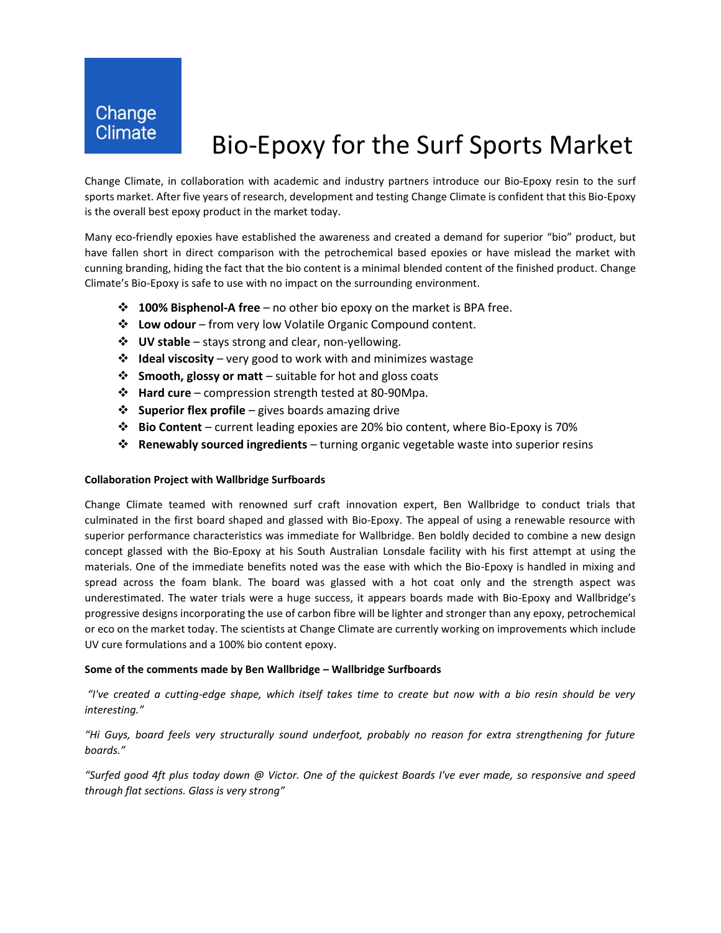## Bio-Epoxy for the Surf Sports Market

Change Climate, in collaboration with academic and industry partners introduce our Bio-Epoxy resin to the surf sports market. After five years of research, development and testing Change Climate is confident that this Bio-Epoxy is the overall best epoxy product in the market today.

Many eco-friendly epoxies have established the awareness and created a demand for superior "bio" product, but have fallen short in direct comparison with the petrochemical based epoxies or have mislead the market with cunning branding, hiding the fact that the bio content is a minimal blended content of the finished product. Change Climate's Bio-Epoxy is safe to use with no impact on the surrounding environment.

- ❖ **100% Bisphenol-A free** no other bio epoxy on the market is BPA free.
- ❖ **Low odour** from very low Volatile Organic Compound content.
- ❖ **UV stable** stays strong and clear, non-yellowing.
- ❖ **Ideal viscosity** very good to work with and minimizes wastage
- ❖ **Smooth, glossy or matt** suitable for hot and gloss coats
- ❖ **Hard cure** compression strength tested at 80-90Mpa.
- ❖ **Superior flex profile** gives boards amazing drive
- ❖ **Bio Content** current leading epoxies are 20% bio content, where Bio-Epoxy is 70%
- ❖ **Renewably sourced ingredients** turning organic vegetable waste into superior resins

### **Collaboration Project with Wallbridge Surfboards**

Change Climate teamed with renowned surf craft innovation expert, Ben Wallbridge to conduct trials that culminated in the first board shaped and glassed with Bio-Epoxy. The appeal of using a renewable resource with superior performance characteristics was immediate for Wallbridge. Ben boldly decided to combine a new design concept glassed with the Bio-Epoxy at his South Australian Lonsdale facility with his first attempt at using the materials. One of the immediate benefits noted was the ease with which the Bio-Epoxy is handled in mixing and spread across the foam blank. The board was glassed with a hot coat only and the strength aspect was underestimated. The water trials were a huge success, it appears boards made with Bio-Epoxy and Wallbridge's progressive designs incorporating the use of carbon fibre will be lighter and stronger than any epoxy, petrochemical or eco on the market today. The scientists at Change Climate are currently working on improvements which include UV cure formulations and a 100% bio content epoxy.

### **Some of the comments made by Ben Wallbridge – Wallbridge Surfboards**

*"I've created a cutting-edge shape, which itself takes time to create but now with a bio resin should be very interesting."*

*"Hi Guys, board feels very structurally sound underfoot, probably no reason for extra strengthening for future boards."*

*"Surfed good 4ft plus today down @ Victor. One of the quickest Boards I've ever made, so responsive and speed through flat sections. Glass is very strong"*